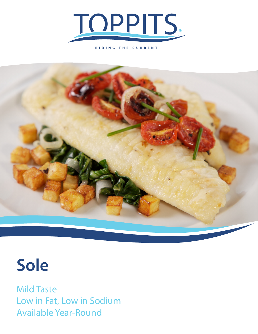

**RIDING THE CURRENT**



## **Sole**

Mild Taste Low in Fat, Low in Sodium Available Year-Round